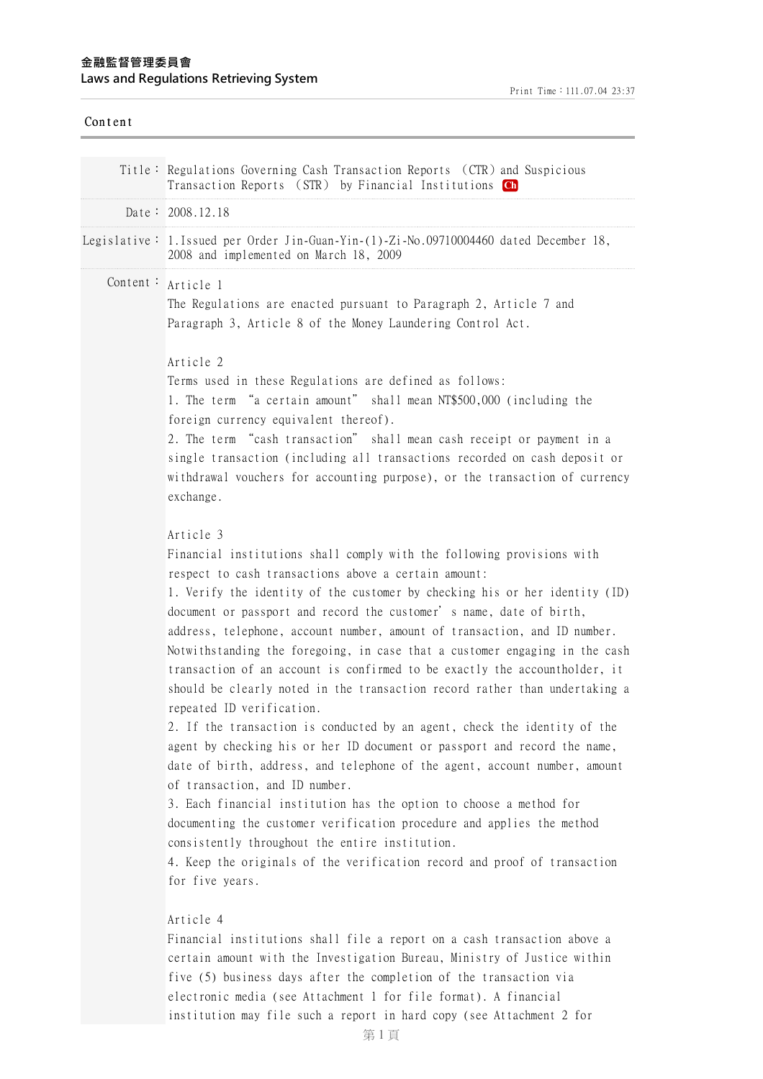# **⾦融監督管理委員會 Laws and Regulations Retrieving System**

| Content |                                                                                                                                                                                                                                                                                                                                                                                                                                                                                                                                                                                                                                                                                                                                                                                                                                                                                                                                                                                                                                                                                                                                                                                                                                       |
|---------|---------------------------------------------------------------------------------------------------------------------------------------------------------------------------------------------------------------------------------------------------------------------------------------------------------------------------------------------------------------------------------------------------------------------------------------------------------------------------------------------------------------------------------------------------------------------------------------------------------------------------------------------------------------------------------------------------------------------------------------------------------------------------------------------------------------------------------------------------------------------------------------------------------------------------------------------------------------------------------------------------------------------------------------------------------------------------------------------------------------------------------------------------------------------------------------------------------------------------------------|
|         | Title: Regulations Governing Cash Transaction Reports (CTR) and Suspicious<br>Transaction Reports (STR) by Financial Institutions Ch                                                                                                                                                                                                                                                                                                                                                                                                                                                                                                                                                                                                                                                                                                                                                                                                                                                                                                                                                                                                                                                                                                  |
|         | Date: 2008.12.18                                                                                                                                                                                                                                                                                                                                                                                                                                                                                                                                                                                                                                                                                                                                                                                                                                                                                                                                                                                                                                                                                                                                                                                                                      |
|         | Legislative: 1. Issued per Order Jin-Guan-Yin-(1)-Zi-No.09710004460 dated December 18,<br>2008 and implemented on March 18, 2009                                                                                                                                                                                                                                                                                                                                                                                                                                                                                                                                                                                                                                                                                                                                                                                                                                                                                                                                                                                                                                                                                                      |
|         | Content: Article 1<br>The Regulations are enacted pursuant to Paragraph 2, Article 7 and<br>Paragraph 3, Article 8 of the Money Laundering Control Act.                                                                                                                                                                                                                                                                                                                                                                                                                                                                                                                                                                                                                                                                                                                                                                                                                                                                                                                                                                                                                                                                               |
|         | Article 2<br>Terms used in these Regulations are defined as follows:<br>1. The term "a certain amount" shall mean NT\$500,000 (including the<br>foreign currency equivalent thereof).<br>2. The term "cash transaction" shall mean cash receipt or payment in a<br>single transaction (including all transactions recorded on cash deposit or<br>withdrawal vouchers for accounting purpose), or the transaction of currency<br>exchange.                                                                                                                                                                                                                                                                                                                                                                                                                                                                                                                                                                                                                                                                                                                                                                                             |
|         | Article 3<br>Financial institutions shall comply with the following provisions with<br>respect to cash transactions above a certain amount:<br>1. Verify the identity of the customer by checking his or her identity (ID)<br>document or passport and record the customer's name, date of birth,<br>address, telephone, account number, amount of transaction, and ID number.<br>Notwithstanding the foregoing, in case that a customer engaging in the cash<br>transaction of an account is confirmed to be exactly the accountholder, it<br>should be clearly noted in the transaction record rather than undertaking a<br>repeated ID verification.<br>2. If the transaction is conducted by an agent, check the identity of the<br>agent by checking his or her ID document or passport and record the name,<br>date of birth, address, and telephone of the agent, account number, amount<br>of transaction, and ID number.<br>3. Each financial institution has the option to choose a method for<br>documenting the customer verification procedure and applies the method<br>consistently throughout the entire institution.<br>4. Keep the originals of the verification record and proof of transaction<br>for five years. |
|         | Article 4<br>Financial institutions shall file a report on a cash transaction above a<br>certain amount with the Investigation Bureau, Ministry of Justice within<br>five (5) business days after the completion of the transaction via<br>electronic media (see Attachment 1 for file format). A financial<br>institution may file such a report in hard copy (see Attachment 2 for                                                                                                                                                                                                                                                                                                                                                                                                                                                                                                                                                                                                                                                                                                                                                                                                                                                  |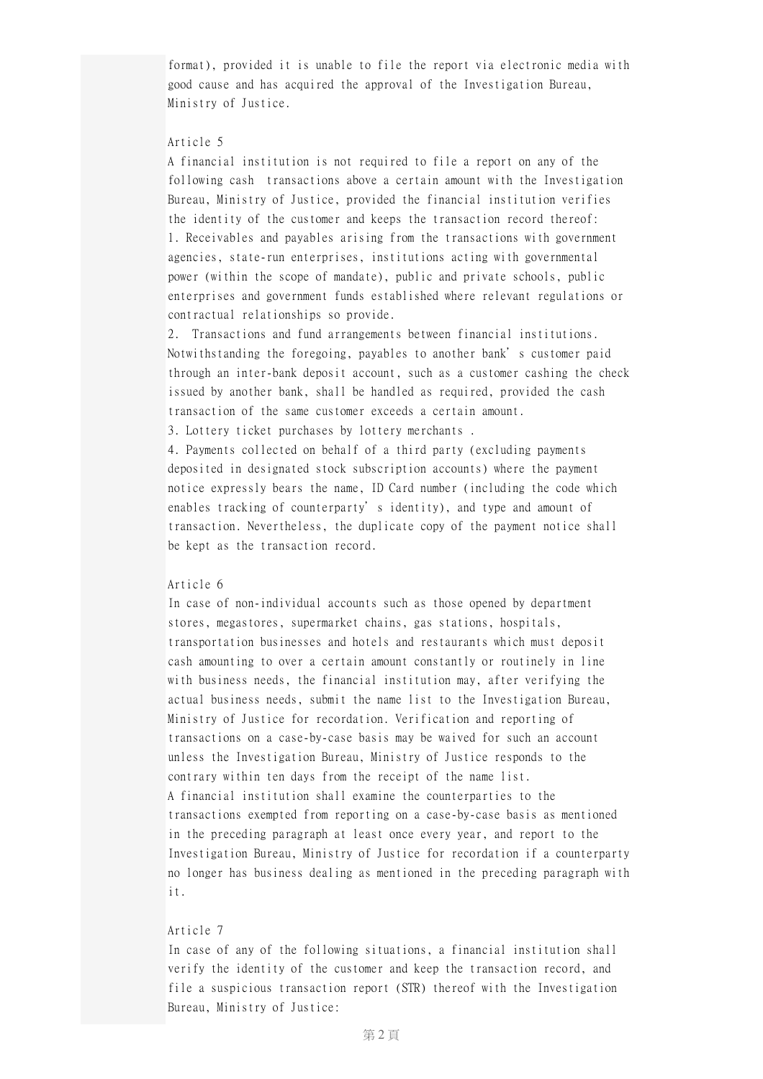format), provided it is unable to file the report via electronic media with good cause and has acquired the approval of the Investigation Bureau, Ministry of Justice.

### Article 5

A financial institution is not required to file a report on any of the following cash transactions above a certain amount with the Investigation Bureau, Ministry of Justice, provided the financial institution verifies the identity of the customer and keeps the transaction record thereof: 1. Receivables and payables arising from the transactions with government agencies, state-run enterprises, institutions acting with governmental power (within the scope of mandate), public and private schools, public enterprises and government funds established where relevant regulations or contractual relationships so provide.

2. Transactions and fund arrangements between financial institutions. Notwithstanding the foregoing, payables to another bank's customer paid through an inter-bank deposit account, such as a customer cashing the check issued by another bank, shall be handled as required, provided the cash transaction of the same customer exceeds a certain amount.

3. Lottery ticket purchases by lottery merchants .

4. Payments collected on behalf of a third party (excluding payments deposited in designated stock subscription accounts) where the payment notice expressly bears the name, ID Card number (including the code which enables tracking of counterparty's identity), and type and amount of transaction. Nevertheless, the duplicate copy of the payment notice shall be kept as the transaction record.

#### Article 6

In case of non-individual accounts such as those opened by department stores, megastores, supermarket chains, gas stations, hospitals, transportation businesses and hotels and restaurants which must deposit cash amounting to over a certain amount constantly or routinely in line with business needs, the financial institution may, after verifying the actual business needs, submit the name list to the Investigation Bureau, Ministry of Justice for recordation. Verification and reporting of transactions on a case-by-case basis may be waived for such an account unless the Investigation Bureau, Ministry of Justice responds to the contrary within ten days from the receipt of the name list. A financial institution shall examine the counterparties to the transactions exempted from reporting on a case-by-case basis as mentioned in the preceding paragraph at least once every year, and report to the Investigation Bureau, Ministry of Justice for recordation if a counterparty no longer has business dealing as mentioned in the preceding paragraph with it.

### Article 7

In case of any of the following situations, a financial institution shall verify the identity of the customer and keep the transaction record, and file a suspicious transaction report (STR) thereof with the Investigation Bureau, Ministry of Justice: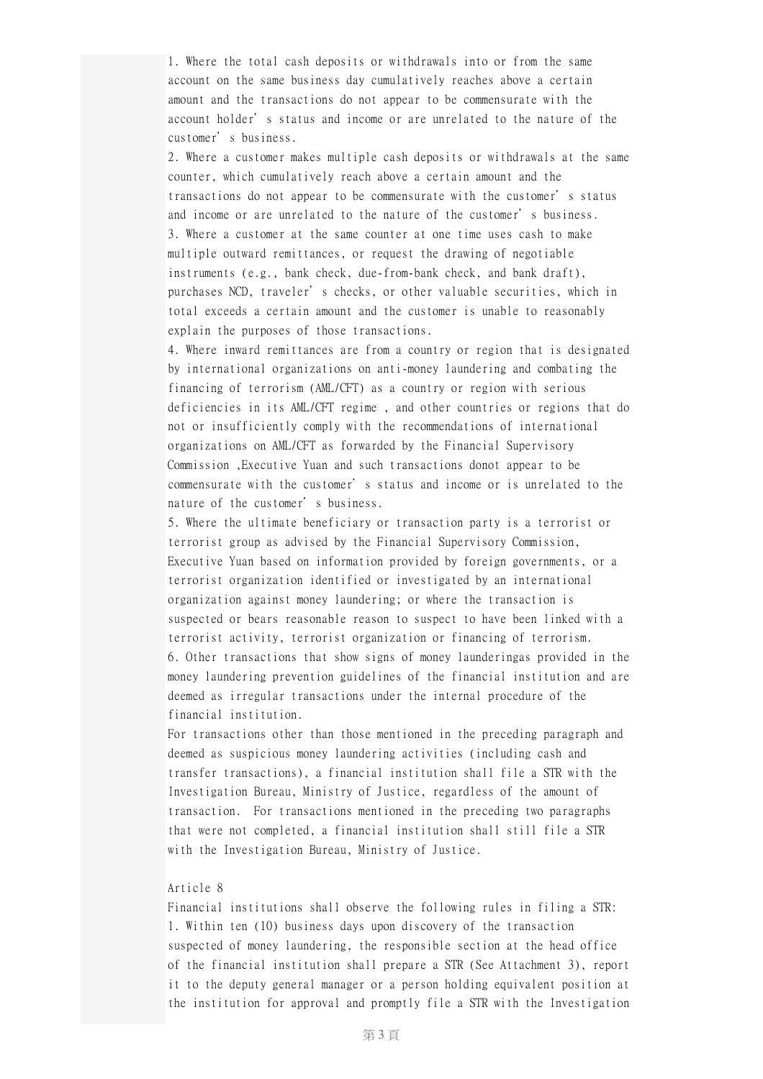1. Where the total cash deposits or withdrawals into or from the same account on the same business day cumulatively reaches above a certain amount and the transactions do not appear to be commensurate with the account holder's status and income or are unrelated to the nature of the customer's business.

2. Where a customer makes multiple cash deposits or withdrawals at the same counter, which cumulatively reach above a certain amount and the transactions do not appear to be commensurate with the customer's status and income or are unrelated to the nature of the customer's business. 3. Where a customer at the same counter at one time uses cash to make multiple outward remittances, or request the drawing of negotiable instruments (e.g., bank check, due-from-bank check, and bank draft), purchases NCD, traveler's checks, or other valuable securities, which in total exceeds a certain amount and the customer is unable to reasonably explain the purposes of those transactions.

4. Where inward remittances are from a country or region that is designated by international organizations on anti-money laundering and combating the financing of terrorism (AML/CFT) as a country or region with serious deficiencies in its AML/CFT regime , and other countries or regions that do not or insufficiently comply with the recommendations of international organizations on AML/CFT as forwarded by the Financial Supervisory Commission ,Executive Yuan and such transactions donot appear to be commensurate with the customer's status and income or is unrelated to the nature of the customer's business.

5. Where the ultimate beneficiary or transaction party is a terrorist or terrorist group as advised by the Financial Supervisory Commission, Executive Yuan based on information provided by foreign governments, or a terrorist organization identified or investigated by an international organization against money laundering; or where the transaction is suspected or bears reasonable reason to suspect to have been linked with a terrorist activity, terrorist organization or financing of terrorism. 6. Other transactions that show signs of money launderingas provided in the money laundering prevention guidelines of the financial institution and are deemed as irregular transactions under the internal procedure of the financial institution.

For transactions other than those mentioned in the preceding paragraph and deemed as suspicious money laundering activities (including cash and transfer transactions), a financial institution shall file a STR with the Investigation Bureau, Ministry of Justice, regardless of the amount of transaction. For transactions mentioned in the preceding two paragraphs that were not completed, a financial institution shall still file a STR with the Investigation Bureau, Ministry of Justice.

#### Article 8

Financial institutions shall observe the following rules in filing a STR: 1. Within ten (10) business days upon discovery of the transaction suspected of money laundering, the responsible section at the head office of the financial institution shall prepare a STR (See Attachment 3), report it to the deputy general manager or a person holding equivalent position at the institution for approval and promptly file a STR with the Investigation